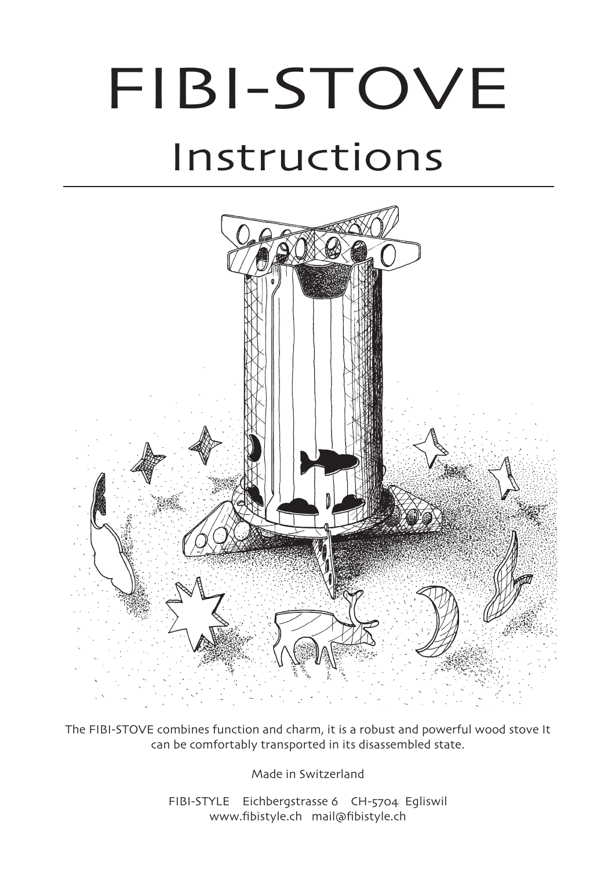# FIBI-STOVE Instructions



The FIBI-STOVE combines function and charm, it is a robust and powerful wood stove It can be comfortably transported in its disassembled state.

Made in Switzerland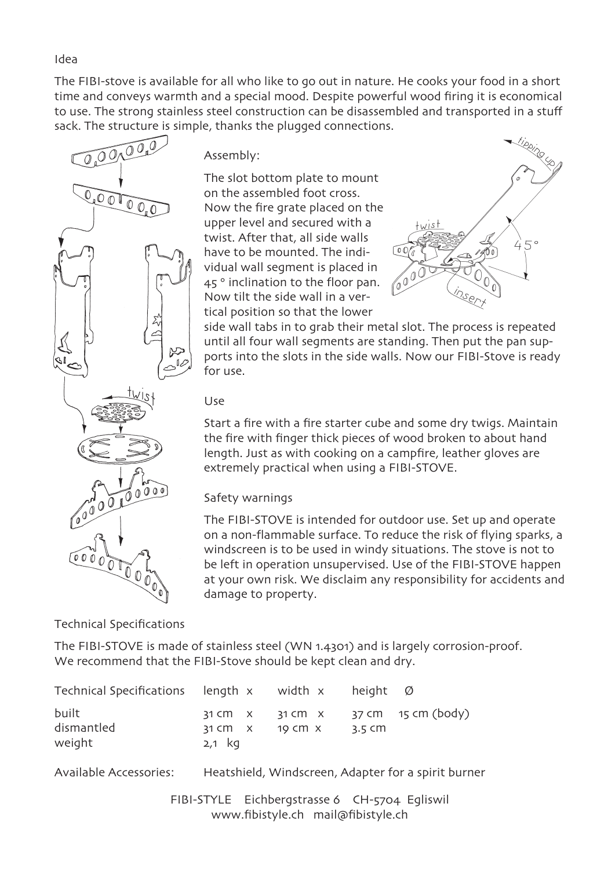The FIBI-stove is available for all who like to go out in nature. He cooks your food in a short time and conveys warmth and a special mood. Despite powerful wood firing it is economical to use. The strong stainless steel construction can be disassembled and transported in a stuff sack. The structure is simple, thanks the plugged connections.



Assembly:

The slot bottom plate to mount on the assembled foot cross. Now the fire grate placed on the upper level and secured with a twist. After that, all side walls have to be mounted. The individual wall segment is placed in 45° inclination to the floor pan. Now tilt the side wall in a vertical position so that the lower



side wall tabs in to grab their metal slot. The process is repeated until all four wall segments are standing. Then put the pan supports into the slots in the side walls. Now our FIBI-Stove is ready for use.

## Use

Start a fire with a fire starter cube and some dry twigs. Maintain the fire with finger thick pieces of wood broken to about hand length. Just as with cooking on a campfire, leather gloves are extremely practical when using a FIBI-STOVE.

## Safety warnings

The FIBI-STOVE is intended for outdoor use. Set up and operate on a non-flammable surface. To reduce the risk of flying sparks, a windscreen is to be used in windy situations. The stove is not to be left in operation unsupervised. Use of the FIBI-STOVE happen at your own risk. We disclaim any responsibility for accidents and damage to property.

Technical Specifications

The FIBI-STOVE is made of stainless steel (WN 1.4301) and is largely corrosion-proof. We recommend that the FIBI-Stove should be kept clean and dry.

| Technical Specifications length $x$ width $x$ height $\varnothing$ |                                             |                                                                                       |
|--------------------------------------------------------------------|---------------------------------------------|---------------------------------------------------------------------------------------|
| built<br>dismantled<br>weight                                      | 31 CM $\lambda$ 19 CM $\lambda$<br>$2,1$ kg | $31 \text{ cm}$ x $31 \text{ cm}$ x $37 \text{ cm}$ $15 \text{ cm}$ (body)<br>-3.5 CM |

Available Accessories: Heatshield, Windscreen, Adapter for a spirit burner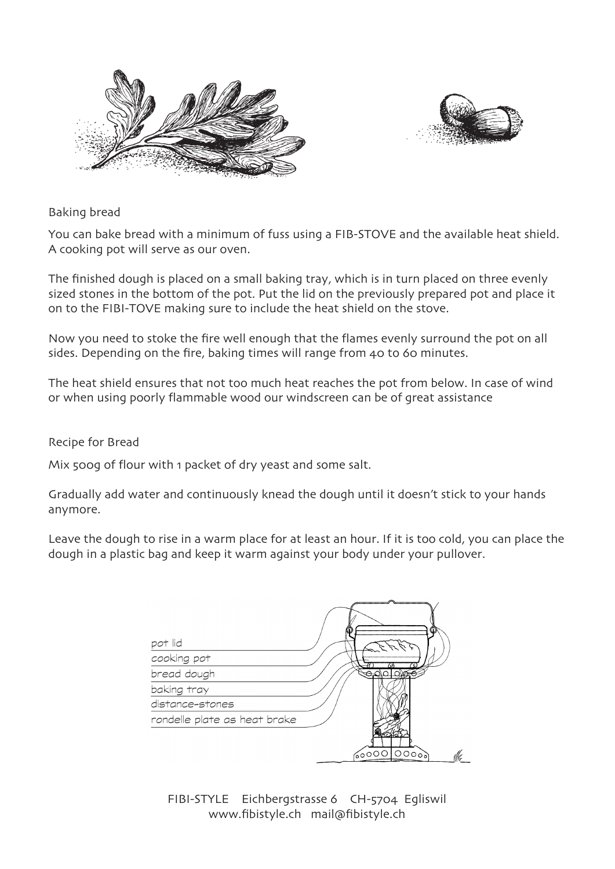



## Baking bread

You can bake bread with a minimum of fuss using a FIB-STOVE and the available heat shield. A cooking pot will serve as our oven.

The finished dough is placed on a small baking tray, which is in turn placed on three evenly sized stones in the bottom of the pot. Put the lid on the previously prepared pot and place it on to the FIBI-TOVE making sure to include the heat shield on the stove.

Now you need to stoke the fire well enough that the flames evenly surround the pot on all sides. Depending on the fire, baking times will range from 40 to 60 minutes.

The heat shield ensures that not too much heat reaches the pot from below. In case of wind or when using poorly flammable wood our windscreen can be of great assistance

#### Recipe for Bread

Mix 500g of flour with 1 packet of dry yeast and some salt.

Gradually add water and continuously knead the dough until it doesn't stick to your hands anymore.

Leave the dough to rise in a warm place for at least an hour. If it is too cold, you can place the dough in a plastic bag and keep it warm against your body under your pullover.